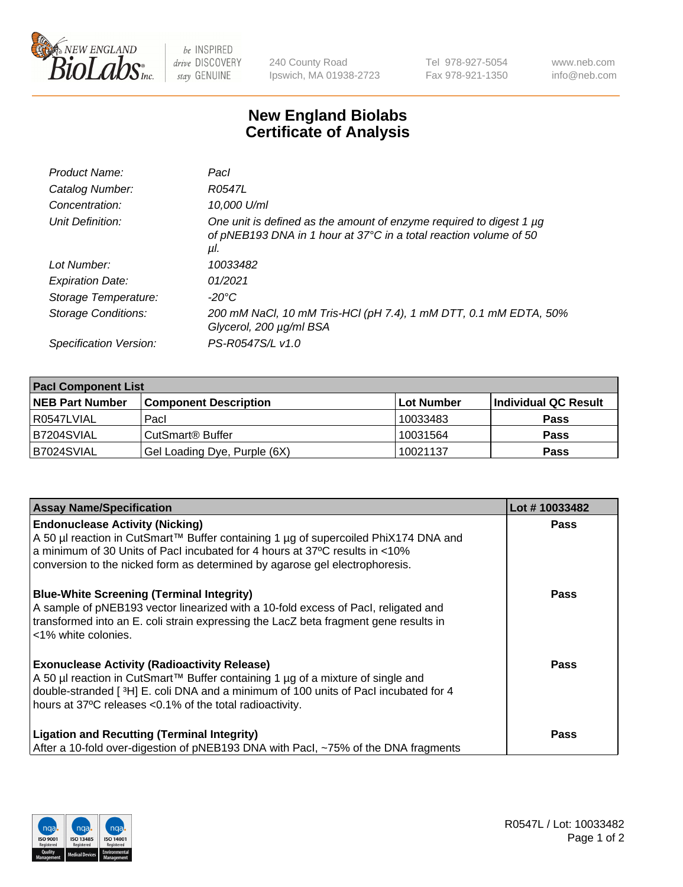

 $be$  INSPIRED drive DISCOVERY stay GENUINE

240 County Road Ipswich, MA 01938-2723 Tel 978-927-5054 Fax 978-921-1350 www.neb.com info@neb.com

## **New England Biolabs Certificate of Analysis**

| Product Name:           | Pacl                                                                                                                                            |
|-------------------------|-------------------------------------------------------------------------------------------------------------------------------------------------|
| Catalog Number:         | R0547L                                                                                                                                          |
| Concentration:          | 10,000 U/ml                                                                                                                                     |
| Unit Definition:        | One unit is defined as the amount of enzyme required to digest 1 µg<br>of pNEB193 DNA in 1 hour at 37°C in a total reaction volume of 50<br>μI. |
| Lot Number:             | 10033482                                                                                                                                        |
| <b>Expiration Date:</b> | 01/2021                                                                                                                                         |
| Storage Temperature:    | $-20^{\circ}$ C                                                                                                                                 |
| Storage Conditions:     | 200 mM NaCl, 10 mM Tris-HCl (pH 7.4), 1 mM DTT, 0.1 mM EDTA, 50%<br>Glycerol, 200 µg/ml BSA                                                     |
| Specification Version:  | PS-R0547S/L v1.0                                                                                                                                |
|                         |                                                                                                                                                 |

| <b>Pacl Component List</b> |                              |            |                      |  |  |
|----------------------------|------------------------------|------------|----------------------|--|--|
| <b>NEB Part Number</b>     | <b>Component Description</b> | Lot Number | Individual QC Result |  |  |
| R0547LVIAL                 | Pacl                         | 10033483   | <b>Pass</b>          |  |  |
| B7204SVIAL                 | l CutSmart® Buffer           | 10031564   | <b>Pass</b>          |  |  |
| B7024SVIAL                 | Gel Loading Dye, Purple (6X) | 10021137   | <b>Pass</b>          |  |  |

| <b>Assay Name/Specification</b>                                                                                                                                                                                                                                                             | Lot #10033482 |
|---------------------------------------------------------------------------------------------------------------------------------------------------------------------------------------------------------------------------------------------------------------------------------------------|---------------|
| <b>Endonuclease Activity (Nicking)</b><br>A 50 µl reaction in CutSmart™ Buffer containing 1 µg of supercoiled PhiX174 DNA and<br>a minimum of 30 Units of Pacl incubated for 4 hours at 37°C results in <10%<br>conversion to the nicked form as determined by agarose gel electrophoresis. | <b>Pass</b>   |
| <b>Blue-White Screening (Terminal Integrity)</b><br>A sample of pNEB193 vector linearized with a 10-fold excess of Pacl, religated and<br>transformed into an E. coli strain expressing the LacZ beta fragment gene results in<br><1% white colonies.                                       | <b>Pass</b>   |
| <b>Exonuclease Activity (Radioactivity Release)</b><br>A 50 µl reaction in CutSmart™ Buffer containing 1 µg of a mixture of single and<br>double-stranded [3H] E. coli DNA and a minimum of 100 units of Pacl incubated for 4<br>hours at 37°C releases <0.1% of the total radioactivity.   | <b>Pass</b>   |
| <b>Ligation and Recutting (Terminal Integrity)</b><br>After a 10-fold over-digestion of pNEB193 DNA with Pacl, ~75% of the DNA fragments                                                                                                                                                    | <b>Pass</b>   |